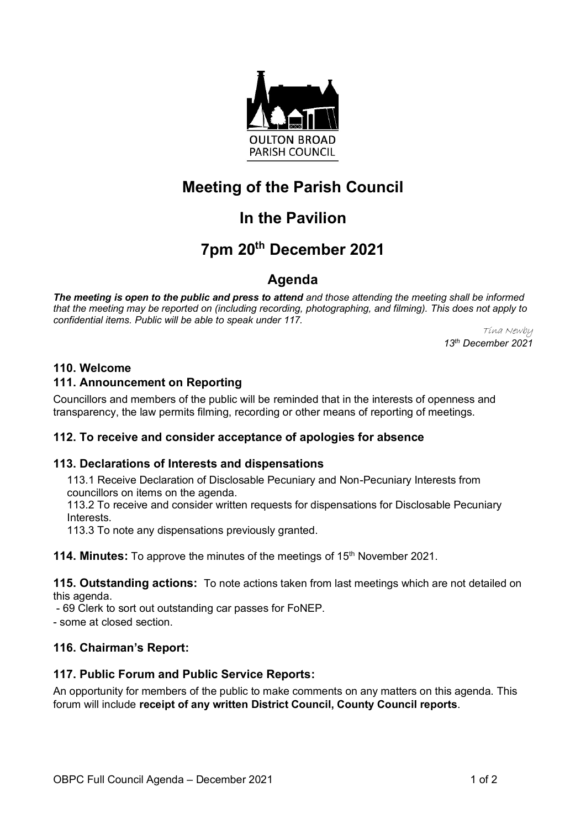

# **Meeting of the Parish Council**

# **In the Pavilion**

# **7pm 20th December 2021**

## **Agenda**

*The meeting is open to the public and press to attend and those attending the meeting shall be informed that the meeting may be reported on (including recording, photographing, and filming). This does not apply to confidential items. Public will be able to speak under 117.*

Tina Newby *13th December 2021*

### **110. Welcome**

### **111. Announcement on Reporting**

Councillors and members of the public will be reminded that in the interests of openness and transparency, the law permits filming, recording or other means of reporting of meetings.

### **112. To receive and consider acceptance of apologies for absence**

#### **113. Declarations of Interests and dispensations**

113.1 Receive Declaration of Disclosable Pecuniary and Non-Pecuniary Interests from councillors on items on the agenda.

113.2 To receive and consider written requests for dispensations for Disclosable Pecuniary **Interests** 

113.3 To note any dispensations previously granted.

**114. Minutes:** To approve the minutes of the meetings of 15<sup>th</sup> November 2021.

**115. Outstanding actions:** To note actions taken from last meetings which are not detailed on this agenda.

- 69 Clerk to sort out outstanding car passes for FoNEP.

- some at closed section.

#### **116. Chairman's Report:**

#### **117. Public Forum and Public Service Reports:**

An opportunity for members of the public to make comments on any matters on this agenda. This forum will include **receipt of any written District Council, County Council reports**.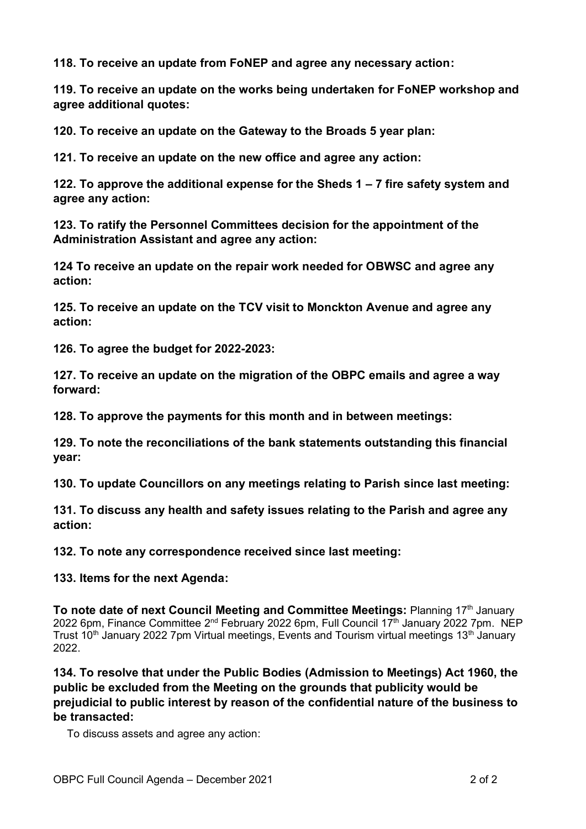**118. To receive an update from FoNEP and agree any necessary action:**

**119. To receive an update on the works being undertaken for FoNEP workshop and agree additional quotes:**

**120. To receive an update on the Gateway to the Broads 5 year plan:**

**121. To receive an update on the new office and agree any action:**

**122. To approve the additional expense for the Sheds 1 – 7 fire safety system and agree any action:**

**123. To ratify the Personnel Committees decision for the appointment of the Administration Assistant and agree any action:**

**124 To receive an update on the repair work needed for OBWSC and agree any action:**

**125. To receive an update on the TCV visit to Monckton Avenue and agree any action:**

**126. To agree the budget for 2022-2023:**

**127. To receive an update on the migration of the OBPC emails and agree a way forward:**

**128. To approve the payments for this month and in between meetings:**

**129. To note the reconciliations of the bank statements outstanding this financial year:**

**130. To update Councillors on any meetings relating to Parish since last meeting:**

**131. To discuss any health and safety issues relating to the Parish and agree any action:**

**132. To note any correspondence received since last meeting:**

**133. Items for the next Agenda:**

**To note date of next Council Meeting and Committee Meetings: Planning 17th January** 2022 6pm, Finance Committee 2<sup>nd</sup> February 2022 6pm, Full Council 17<sup>th</sup> January 2022 7pm. NEP Trust 10<sup>th</sup> January 2022 7pm Virtual meetings, Events and Tourism virtual meetings 13<sup>th</sup> January 2022.

**134. To resolve that under the Public Bodies (Admission to Meetings) Act 1960, the public be excluded from the Meeting on the grounds that publicity would be prejudicial to public interest by reason of the confidential nature of the business to be transacted:**

To discuss assets and agree any action: